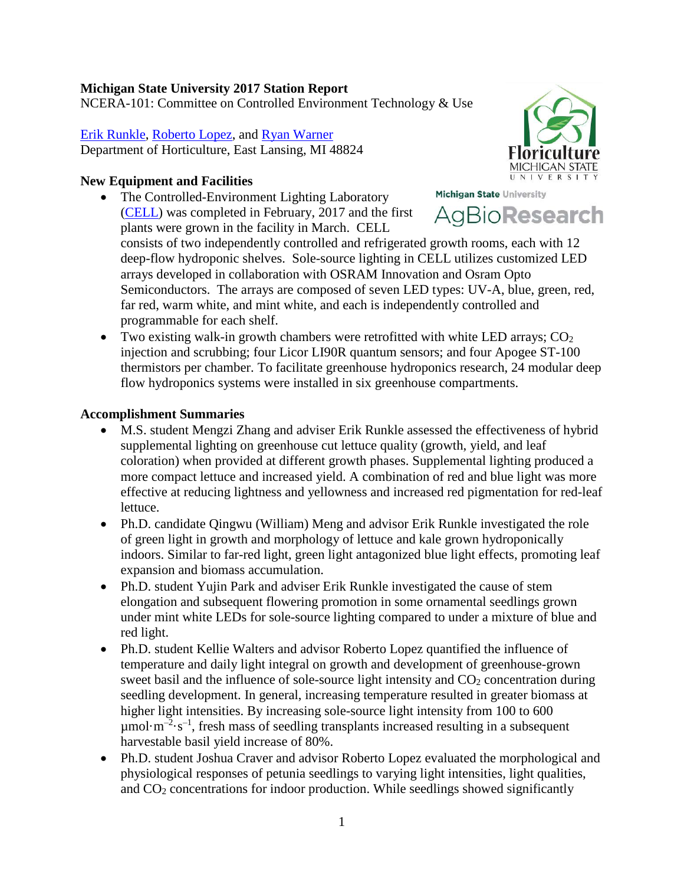# **Michigan State University 2017 Station Report**

NCERA-101: Committee on Controlled Environment Technology & Use

[Erik Runkle,](http://www.hrt.msu.edu/people/dr_erik_runkle) [Roberto Lopez,](http://www.hrt.msu.edu/people/dr_roberto_lopez) and [Ryan Warner](http://www.hrt.msu.edu/people/dr_ryan_warner) Department of Horticulture, East Lansing, MI 48824

# **New Equipment and Facilities**

- Michigan State University • The Controlled-Environment Lighting Laboratory AgBioResearch [\(CELL\)](http://www.canr.msu.edu/profiles/dr_erik_runkle/cell) was completed in February, 2017 and the first plants were grown in the facility in March. CELL consists of two independently controlled and refrigerated growth rooms, each with 12 deep-flow hydroponic shelves. Sole-source lighting in CELL utilizes customized LED arrays developed in collaboration with OSRAM Innovation and Osram Opto Semiconductors. The arrays are composed of seven LED types: UV-A, blue, green, red, far red, warm white, and mint white, and each is independently controlled and programmable for each shelf.
	- Two existing walk-in growth chambers were retrofitted with white LED arrays;  $CO<sub>2</sub>$ injection and scrubbing; four Licor LI90R quantum sensors; and four Apogee ST-100 thermistors per chamber. To facilitate greenhouse hydroponics research, 24 modular deep flow hydroponics systems were installed in six greenhouse compartments.

# **Accomplishment Summaries**

- M.S. student Mengzi Zhang and adviser Erik Runkle assessed the effectiveness of hybrid supplemental lighting on greenhouse cut lettuce quality (growth, yield, and leaf coloration) when provided at different growth phases. Supplemental lighting produced a more compact lettuce and increased yield. A combination of red and blue light was more effective at reducing lightness and yellowness and increased red pigmentation for red-leaf lettuce.
- Ph.D. candidate Qingwu (William) Meng and advisor Erik Runkle investigated the role of green light in growth and morphology of lettuce and kale grown hydroponically indoors. Similar to far-red light, green light antagonized blue light effects, promoting leaf expansion and biomass accumulation.
- Ph.D. student Yujin Park and adviser Erik Runkle investigated the cause of stem elongation and subsequent flowering promotion in some ornamental seedlings grown under mint white LEDs for sole-source lighting compared to under a mixture of blue and red light.
- Ph.D. student Kellie Walters and advisor Roberto Lopez quantified the influence of temperature and daily light integral on growth and development of greenhouse-grown sweet basil and the influence of sole-source light intensity and  $CO<sub>2</sub>$  concentration during seedling development. In general, increasing temperature resulted in greater biomass at higher light intensities. By increasing sole-source light intensity from 100 to 600  $\mu$ mol·m<sup>-2</sup>·s<sup>-1</sup>, fresh mass of seedling transplants increased resulting in a subsequent harvestable basil yield increase of 80%.
- Ph.D. student Joshua Craver and advisor Roberto Lopez evaluated the morphological and physiological responses of petunia seedlings to varying light intensities, light qualities, and CO2 concentrations for indoor production. While seedlings showed significantly

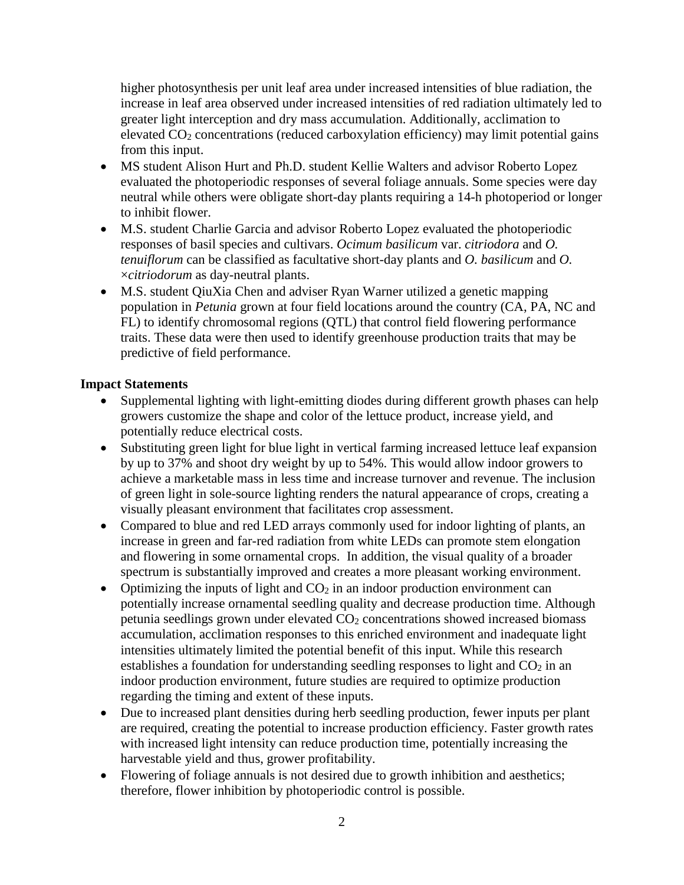higher photosynthesis per unit leaf area under increased intensities of blue radiation, the increase in leaf area observed under increased intensities of red radiation ultimately led to greater light interception and dry mass accumulation. Additionally, acclimation to elevated CO2 concentrations (reduced carboxylation efficiency) may limit potential gains from this input.

- MS student Alison Hurt and Ph.D. student Kellie Walters and advisor Roberto Lopez evaluated the photoperiodic responses of several foliage annuals. Some species were day neutral while others were obligate short-day plants requiring a 14-h photoperiod or longer to inhibit flower.
- M.S. student Charlie Garcia and advisor Roberto Lopez evaluated the photoperiodic responses of basil species and cultivars. *Ocimum basilicum* var. *citriodora* and *O. tenuiflorum* can be classified as facultative short-day plants and *O. basilicum* and *O.* ×*citriodorum* as day-neutral plants.
- M.S. student QiuXia Chen and adviser Ryan Warner utilized a genetic mapping population in *Petunia* grown at four field locations around the country (CA, PA, NC and FL) to identify chromosomal regions (QTL) that control field flowering performance traits. These data were then used to identify greenhouse production traits that may be predictive of field performance.

### **Impact Statements**

- Supplemental lighting with light-emitting diodes during different growth phases can help growers customize the shape and color of the lettuce product, increase yield, and potentially reduce electrical costs.
- Substituting green light for blue light in vertical farming increased lettuce leaf expansion by up to 37% and shoot dry weight by up to 54%. This would allow indoor growers to achieve a marketable mass in less time and increase turnover and revenue. The inclusion of green light in sole-source lighting renders the natural appearance of crops, creating a visually pleasant environment that facilitates crop assessment.
- Compared to blue and red LED arrays commonly used for indoor lighting of plants, an increase in green and far-red radiation from white LEDs can promote stem elongation and flowering in some ornamental crops. In addition, the visual quality of a broader spectrum is substantially improved and creates a more pleasant working environment.
- Optimizing the inputs of light and  $CO<sub>2</sub>$  in an indoor production environment can potentially increase ornamental seedling quality and decrease production time. Although petunia seedlings grown under elevated  $CO<sub>2</sub>$  concentrations showed increased biomass accumulation, acclimation responses to this enriched environment and inadequate light intensities ultimately limited the potential benefit of this input. While this research establishes a foundation for understanding seedling responses to light and  $CO<sub>2</sub>$  in an indoor production environment, future studies are required to optimize production regarding the timing and extent of these inputs.
- Due to increased plant densities during herb seedling production, fewer inputs per plant are required, creating the potential to increase production efficiency. Faster growth rates with increased light intensity can reduce production time, potentially increasing the harvestable yield and thus, grower profitability.
- Flowering of foliage annuals is not desired due to growth inhibition and aesthetics; therefore, flower inhibition by photoperiodic control is possible.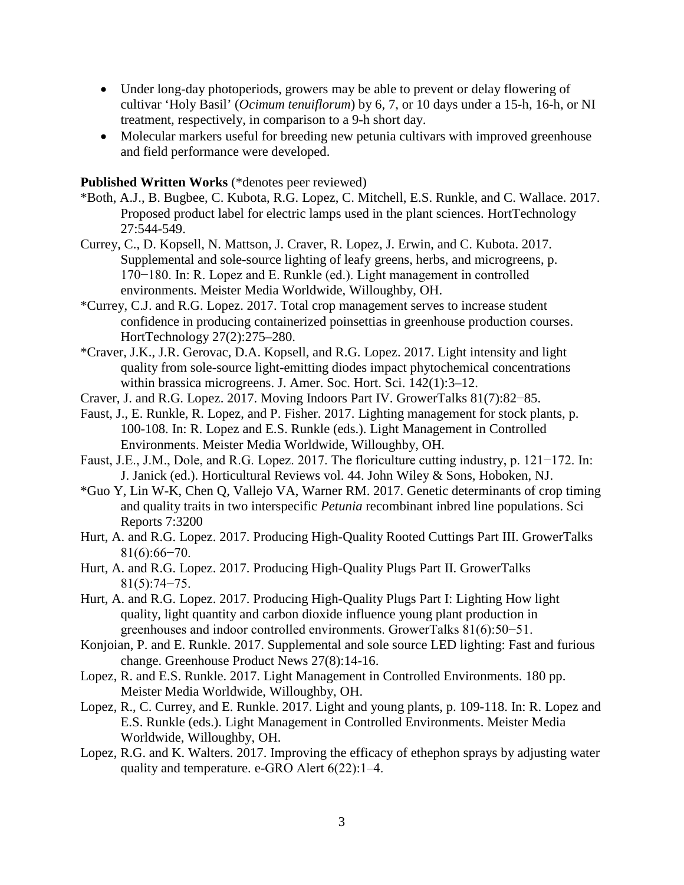- Under long-day photoperiods, growers may be able to prevent or delay flowering of cultivar 'Holy Basil' (*Ocimum tenuiflorum*) by 6, 7, or 10 days under a 15-h, 16-h, or NI treatment, respectively, in comparison to a 9-h short day.
- Molecular markers useful for breeding new petunia cultivars with improved greenhouse and field performance were developed.

#### **Published Written Works** (\*denotes peer reviewed)

- \*Both, A.J., B. Bugbee, C. Kubota, R.G. Lopez, C. Mitchell, E.S. Runkle, and C. Wallace. 2017. Proposed product label for electric lamps used in the plant sciences. HortTechnology 27:544-549.
- Currey, C., D. Kopsell, N. Mattson, J. Craver, R. Lopez, J. Erwin, and C. Kubota. 2017. Supplemental and sole-source lighting of leafy greens, herbs, and microgreens, p. 170−180. In: R. Lopez and E. Runkle (ed.). Light management in controlled environments. Meister Media Worldwide, Willoughby, OH.
- \*Currey, C.J. and R.G. Lopez. 2017. Total crop management serves to increase student confidence in producing containerized poinsettias in greenhouse production courses. HortTechnology 27(2):275–280.
- \*Craver, J.K., J.R. Gerovac, D.A. Kopsell, and R.G. Lopez. 2017. Light intensity and light quality from sole-source light-emitting diodes impact phytochemical concentrations within brassica microgreens. J. Amer. Soc. Hort. Sci. 142(1):3–12.
- Craver, J. and R.G. Lopez. 2017. Moving Indoors Part IV. GrowerTalks 81(7):82−85.
- Faust, J., E. Runkle, R. Lopez, and P. Fisher. 2017. Lighting management for stock plants, p. 100-108. In: R. Lopez and E.S. Runkle (eds.). Light Management in Controlled Environments. Meister Media Worldwide, Willoughby, OH.
- Faust, J.E., J.M., Dole, and R.G. Lopez. 2017. The floriculture cutting industry, p. 121−172. In: J. Janick (ed.). Horticultural Reviews vol. 44. John Wiley & Sons, Hoboken, NJ.
- \*Guo Y, Lin W-K, Chen Q, Vallejo VA, Warner RM. 2017. Genetic determinants of crop timing and quality traits in two interspecific *Petunia* recombinant inbred line populations. Sci Reports 7:3200
- Hurt, A. and R.G. Lopez. 2017. Producing High-Quality Rooted Cuttings Part III. GrowerTalks 81(6):66−70.
- Hurt, A. and R.G. Lopez. 2017. Producing High-Quality Plugs Part II. GrowerTalks 81(5):74−75.
- Hurt, A. and R.G. Lopez. 2017. Producing High-Quality Plugs Part I: Lighting How light quality, light quantity and carbon dioxide influence young plant production in greenhouses and indoor controlled environments. GrowerTalks 81(6):50−51.
- Konjoian, P. and E. Runkle. 2017. Supplemental and sole source LED lighting: Fast and furious change. Greenhouse Product News 27(8):14-16.
- Lopez, R. and E.S. Runkle. 2017. Light Management in Controlled Environments. 180 pp. Meister Media Worldwide, Willoughby, OH.
- Lopez, R., C. Currey, and E. Runkle. 2017. Light and young plants, p. 109-118. In: R. Lopez and E.S. Runkle (eds.). Light Management in Controlled Environments. Meister Media Worldwide, Willoughby, OH.
- Lopez, R.G. and K. Walters. 2017. Improving the efficacy of ethephon sprays by adjusting water quality and temperature. e-GRO Alert 6(22):1–4.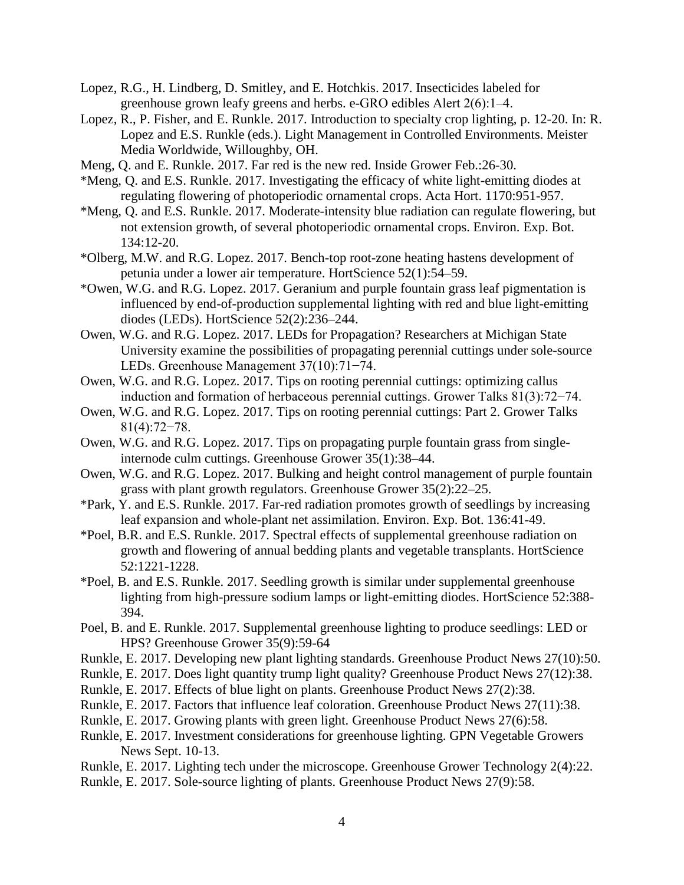- Lopez, R.G., H. Lindberg, D. Smitley, and E. Hotchkis. 2017. Insecticides labeled for greenhouse grown leafy greens and herbs. e-GRO edibles Alert 2(6):1–4.
- Lopez, R., P. Fisher, and E. Runkle. 2017. Introduction to specialty crop lighting, p. 12-20. In: R. Lopez and E.S. Runkle (eds.). Light Management in Controlled Environments. Meister Media Worldwide, Willoughby, OH.
- Meng, Q. and E. Runkle. 2017. Far red is the new red. Inside Grower Feb.:26-30.
- \*Meng, Q. and E.S. Runkle. 2017. Investigating the efficacy of white light-emitting diodes at regulating flowering of photoperiodic ornamental crops. Acta Hort. 1170:951-957.
- \*Meng, Q. and E.S. Runkle. 2017. Moderate-intensity blue radiation can regulate flowering, but not extension growth, of several photoperiodic ornamental crops. Environ. Exp. Bot. 134:12-20.
- \*Olberg, M.W. and R.G. Lopez. 2017. Bench-top root-zone heating hastens development of petunia under a lower air temperature. HortScience 52(1):54–59.
- \*Owen, W.G. and R.G. Lopez. 2017. Geranium and purple fountain grass leaf pigmentation is influenced by end-of-production supplemental lighting with red and blue light-emitting diodes (LEDs). HortScience 52(2):236–244.
- Owen, W.G. and R.G. Lopez. 2017. LEDs for Propagation? Researchers at Michigan State University examine the possibilities of propagating perennial cuttings under sole-source LEDs. Greenhouse Management 37(10):71−74.
- Owen, W.G. and R.G. Lopez. 2017. Tips on rooting perennial cuttings: optimizing callus induction and formation of herbaceous perennial cuttings. Grower Talks 81(3):72−74.
- Owen, W.G. and R.G. Lopez. 2017. Tips on rooting perennial cuttings: Part 2. Grower Talks 81(4):72−78.
- Owen, W.G. and R.G. Lopez. 2017. Tips on propagating purple fountain grass from singleinternode culm cuttings. Greenhouse Grower 35(1):38–44.
- Owen, W.G. and R.G. Lopez. 2017. Bulking and height control management of purple fountain grass with plant growth regulators. Greenhouse Grower 35(2):22–25.
- \*Park, Y. and E.S. Runkle. 2017. Far-red radiation promotes growth of seedlings by increasing leaf expansion and whole-plant net assimilation. Environ. Exp. Bot. 136:41-49.
- \*Poel, B.R. and E.S. Runkle. 2017. Spectral effects of supplemental greenhouse radiation on growth and flowering of annual bedding plants and vegetable transplants. HortScience 52:1221-1228.
- \*Poel, B. and E.S. Runkle. 2017. Seedling growth is similar under supplemental greenhouse lighting from high-pressure sodium lamps or light-emitting diodes. HortScience 52:388- 394.
- Poel, B. and E. Runkle. 2017. Supplemental greenhouse lighting to produce seedlings: LED or HPS? Greenhouse Grower 35(9):59-64
- Runkle, E. 2017. Developing new plant lighting standards. Greenhouse Product News 27(10):50.
- Runkle, E. 2017. Does light quantity trump light quality? Greenhouse Product News 27(12):38.
- Runkle, E. 2017. Effects of blue light on plants. Greenhouse Product News 27(2):38.
- Runkle, E. 2017. Factors that influence leaf coloration. Greenhouse Product News 27(11):38.
- Runkle, E. 2017. Growing plants with green light. Greenhouse Product News 27(6):58.
- Runkle, E. 2017. Investment considerations for greenhouse lighting. GPN Vegetable Growers News Sept. 10-13.
- Runkle, E. 2017. Lighting tech under the microscope. Greenhouse Grower Technology 2(4):22.
- Runkle, E. 2017. Sole-source lighting of plants. Greenhouse Product News 27(9):58.